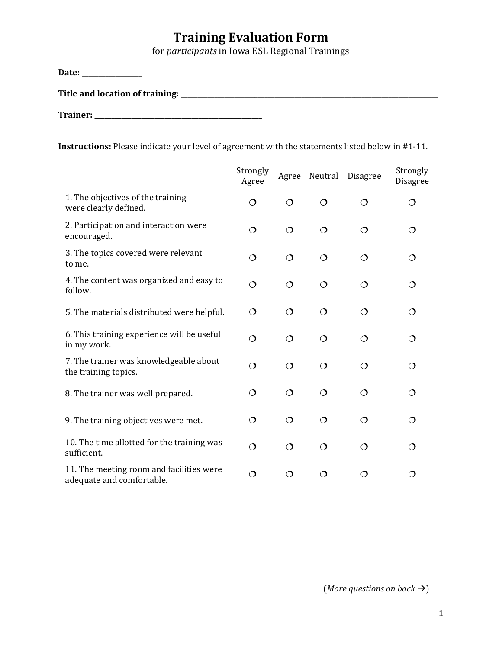## **Training Evaluation Form**

for *participants* in Iowa ESL Regional Trainings

**Date: \_\_\_\_\_\_\_\_\_\_\_\_\_\_\_\_\_\_ Title and location of training: \_\_\_\_\_\_\_\_\_\_\_\_\_\_\_\_\_\_\_\_\_\_\_\_\_\_\_\_\_\_\_\_\_\_\_\_\_\_\_\_\_\_\_\_\_\_\_\_\_\_\_\_\_\_\_\_\_\_\_\_\_\_\_\_\_\_\_\_\_\_\_\_\_\_\_\_\_ Trainer: \_\_\_\_\_\_\_\_\_\_\_\_\_\_\_\_\_\_\_\_\_\_\_\_\_\_\_\_\_\_\_\_\_\_\_\_\_\_\_\_\_\_\_\_\_\_\_\_\_\_ Instructions:** Please indicate your level of agreement with the statements listed below in #1-11. Strongly Agree Strongly Agree Neutral Disagree Disagree

|                                                                       | Agree    |          |          |         | Disagi e    |
|-----------------------------------------------------------------------|----------|----------|----------|---------|-------------|
| 1. The objectives of the training<br>were clearly defined.            | ◯        | ◯        | ◯        | ◯       | $\mathbf C$ |
| 2. Participation and interaction were<br>encouraged.                  | $\Omega$ | $\Omega$ | $\Omega$ | ◯       | ◯           |
| 3. The topics covered were relevant<br>to me.                         | $\Omega$ | $\circ$  | $\Omega$ | ◯       | ◯           |
| 4. The content was organized and easy to<br>follow.                   | ◯        | ◯        | $\Omega$ | $\circ$ | ◯           |
| 5. The materials distributed were helpful.                            | $\Omega$ | ◯        | $\Omega$ | ◯       | ◯           |
| 6. This training experience will be useful<br>in my work.             | $\Omega$ | $\circ$  | $\Omega$ | ◯       | ◯           |
| 7. The trainer was knowledgeable about<br>the training topics.        | ◯        | ◯        | $\Omega$ | $\circ$ | ◯           |
| 8. The trainer was well prepared.                                     | $\Omega$ | ◯        | ◯        | $\circ$ | ◯           |
| 9. The training objectives were met.                                  | ◯        | $\circ$  | $\Omega$ | ◯       | ◯           |
| 10. The time allotted for the training was<br>sufficient.             | $\Omega$ | ◯        | $\Omega$ | $\circ$ | ◯           |
| 11. The meeting room and facilities were<br>adequate and comfortable. | ◯        | ◯        | ◯        | ∩       | ◯           |

(*More* questions on back  $\rightarrow$ )